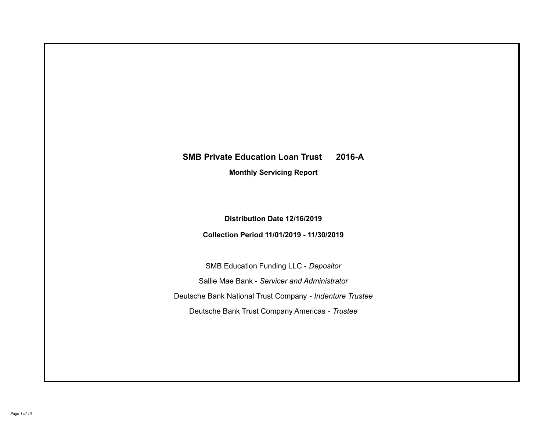# **SMB Private Education Loan Trust 2016-A Monthly Servicing Report**

## **Distribution Date 12/16/2019**

## **Collection Period 11/01/2019 - 11/30/2019**

SMB Education Funding LLC - *Depositor* Sallie Mae Bank - *Servicer and Administrator* Deutsche Bank National Trust Company - *Indenture Trustee* Deutsche Bank Trust Company Americas - *Trustee*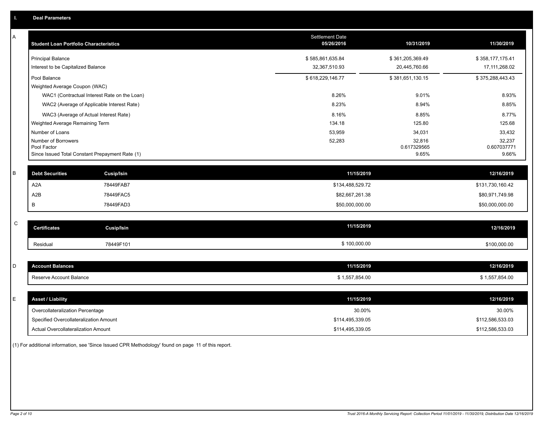| A         | <b>Student Loan Portfolio Characteristics</b>                  | <b>Settlement Date</b><br>05/26/2016 | 10/31/2019           | 11/30/2019           |
|-----------|----------------------------------------------------------------|--------------------------------------|----------------------|----------------------|
|           | <b>Principal Balance</b>                                       | \$585,861,635.84                     | \$361,205,369.49     | \$358,177,175.41     |
|           | Interest to be Capitalized Balance                             | 32,367,510.93                        | 20,445,760.66        | 17,111,268.02        |
|           | Pool Balance                                                   | \$618,229,146.77                     | \$381,651,130.15     | \$375,288,443.43     |
|           | Weighted Average Coupon (WAC)                                  |                                      |                      |                      |
|           | WAC1 (Contractual Interest Rate on the Loan)                   | 8.26%                                | 9.01%                | 8.93%                |
|           | WAC2 (Average of Applicable Interest Rate)                     | 8.23%                                | 8.94%                | 8.85%                |
|           | WAC3 (Average of Actual Interest Rate)                         | 8.16%                                | 8.85%                | 8.77%                |
|           | Weighted Average Remaining Term                                | 134.18                               | 125.80               | 125.68               |
|           | Number of Loans                                                | 53,959                               | 34,031               | 33,432               |
|           | Number of Borrowers                                            | 52,283                               | 32,816               | 32,237               |
|           | Pool Factor<br>Since Issued Total Constant Prepayment Rate (1) |                                      | 0.617329565<br>9.65% | 0.607037771<br>9.66% |
|           |                                                                |                                      |                      |                      |
| B         | <b>Debt Securities</b><br><b>Cusip/Isin</b>                    | 11/15/2019                           |                      | 12/16/2019           |
|           | A <sub>2</sub> A<br>78449FAB7                                  | \$134,488,529.72                     |                      | \$131,730,160.42     |
|           | A <sub>2</sub> B<br>78449FAC5                                  | \$82,667,261.38                      |                      | \$80,971,749.98      |
|           | В<br>78449FAD3                                                 | \$50,000,000.00                      |                      | \$50,000,000.00      |
|           |                                                                |                                      |                      |                      |
| ${\bf C}$ | <b>Certificates</b><br><b>Cusip/Isin</b>                       | 11/15/2019                           |                      | 12/16/2019           |
|           | 78449F101<br>Residual                                          | \$100,000.00                         |                      | \$100,000.00         |
|           |                                                                |                                      |                      |                      |
| D         | <b>Account Balances</b>                                        | 11/15/2019                           |                      | 12/16/2019           |
|           | Reserve Account Balance                                        | \$1,557,854.00                       |                      | \$1,557,854.00       |
|           |                                                                |                                      |                      |                      |
| E         | <b>Asset / Liability</b>                                       | 11/15/2019                           |                      | 12/16/2019           |
|           | Overcollateralization Percentage                               | 30.00%                               |                      | 30.00%               |
|           | Specified Overcollateralization Amount                         | \$114,495,339.05                     |                      | \$112,586,533.03     |
|           | Actual Overcollateralization Amount                            | \$114,495,339.05                     |                      | \$112,586,533.03     |

(1) For additional information, see 'Since Issued CPR Methodology' found on page 11 of this report.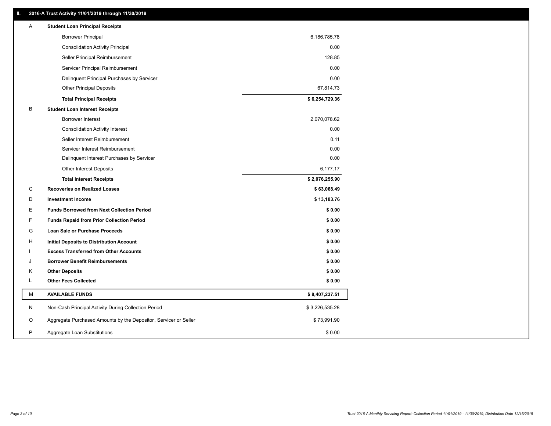## **II. 2016-A Trust Activity 11/01/2019 through 11/30/2019**

| <b>Borrower Principal</b><br>6,186,785.78<br><b>Consolidation Activity Principal</b><br>0.00<br>128.85<br>Seller Principal Reimbursement<br>0.00<br>Servicer Principal Reimbursement<br>0.00<br>Delinquent Principal Purchases by Servicer<br>67,814.73<br><b>Other Principal Deposits</b><br>\$6,254,729.36<br><b>Total Principal Receipts</b><br>B<br><b>Student Loan Interest Receipts</b><br><b>Borrower Interest</b><br>2,070,078.62<br>0.00<br><b>Consolidation Activity Interest</b><br>Seller Interest Reimbursement<br>0.11<br>Servicer Interest Reimbursement<br>0.00<br>0.00<br>Delinquent Interest Purchases by Servicer<br>Other Interest Deposits<br>6,177.17<br>\$2,076,255.90<br><b>Total Interest Receipts</b><br>C<br><b>Recoveries on Realized Losses</b><br>\$63,068.49<br>\$13,183.76<br>D<br><b>Investment Income</b><br>Е<br>\$0.00<br><b>Funds Borrowed from Next Collection Period</b><br>F<br><b>Funds Repaid from Prior Collection Period</b><br>\$0.00<br>G<br>\$0.00<br>Loan Sale or Purchase Proceeds<br>\$0.00<br>н<br>Initial Deposits to Distribution Account<br>\$0.00<br><b>Excess Transferred from Other Accounts</b><br><b>Borrower Benefit Reimbursements</b><br>\$0.00<br>J<br>\$0.00<br>Κ<br><b>Other Deposits</b><br><b>Other Fees Collected</b><br>L<br>\$0.00<br>М<br><b>AVAILABLE FUNDS</b><br>\$8,407,237.51<br>N<br>Non-Cash Principal Activity During Collection Period<br>\$3,226,535.28<br>Aggregate Purchased Amounts by the Depositor, Servicer or Seller<br>\$73,991.90<br>O<br>P<br>Aggregate Loan Substitutions<br>\$0.00 | A | <b>Student Loan Principal Receipts</b> |  |
|---------------------------------------------------------------------------------------------------------------------------------------------------------------------------------------------------------------------------------------------------------------------------------------------------------------------------------------------------------------------------------------------------------------------------------------------------------------------------------------------------------------------------------------------------------------------------------------------------------------------------------------------------------------------------------------------------------------------------------------------------------------------------------------------------------------------------------------------------------------------------------------------------------------------------------------------------------------------------------------------------------------------------------------------------------------------------------------------------------------------------------------------------------------------------------------------------------------------------------------------------------------------------------------------------------------------------------------------------------------------------------------------------------------------------------------------------------------------------------------------------------------------------------------------------------------------------------|---|----------------------------------------|--|
|                                                                                                                                                                                                                                                                                                                                                                                                                                                                                                                                                                                                                                                                                                                                                                                                                                                                                                                                                                                                                                                                                                                                                                                                                                                                                                                                                                                                                                                                                                                                                                                 |   |                                        |  |
|                                                                                                                                                                                                                                                                                                                                                                                                                                                                                                                                                                                                                                                                                                                                                                                                                                                                                                                                                                                                                                                                                                                                                                                                                                                                                                                                                                                                                                                                                                                                                                                 |   |                                        |  |
|                                                                                                                                                                                                                                                                                                                                                                                                                                                                                                                                                                                                                                                                                                                                                                                                                                                                                                                                                                                                                                                                                                                                                                                                                                                                                                                                                                                                                                                                                                                                                                                 |   |                                        |  |
|                                                                                                                                                                                                                                                                                                                                                                                                                                                                                                                                                                                                                                                                                                                                                                                                                                                                                                                                                                                                                                                                                                                                                                                                                                                                                                                                                                                                                                                                                                                                                                                 |   |                                        |  |
|                                                                                                                                                                                                                                                                                                                                                                                                                                                                                                                                                                                                                                                                                                                                                                                                                                                                                                                                                                                                                                                                                                                                                                                                                                                                                                                                                                                                                                                                                                                                                                                 |   |                                        |  |
|                                                                                                                                                                                                                                                                                                                                                                                                                                                                                                                                                                                                                                                                                                                                                                                                                                                                                                                                                                                                                                                                                                                                                                                                                                                                                                                                                                                                                                                                                                                                                                                 |   |                                        |  |
|                                                                                                                                                                                                                                                                                                                                                                                                                                                                                                                                                                                                                                                                                                                                                                                                                                                                                                                                                                                                                                                                                                                                                                                                                                                                                                                                                                                                                                                                                                                                                                                 |   |                                        |  |
|                                                                                                                                                                                                                                                                                                                                                                                                                                                                                                                                                                                                                                                                                                                                                                                                                                                                                                                                                                                                                                                                                                                                                                                                                                                                                                                                                                                                                                                                                                                                                                                 |   |                                        |  |
|                                                                                                                                                                                                                                                                                                                                                                                                                                                                                                                                                                                                                                                                                                                                                                                                                                                                                                                                                                                                                                                                                                                                                                                                                                                                                                                                                                                                                                                                                                                                                                                 |   |                                        |  |
|                                                                                                                                                                                                                                                                                                                                                                                                                                                                                                                                                                                                                                                                                                                                                                                                                                                                                                                                                                                                                                                                                                                                                                                                                                                                                                                                                                                                                                                                                                                                                                                 |   |                                        |  |
|                                                                                                                                                                                                                                                                                                                                                                                                                                                                                                                                                                                                                                                                                                                                                                                                                                                                                                                                                                                                                                                                                                                                                                                                                                                                                                                                                                                                                                                                                                                                                                                 |   |                                        |  |
|                                                                                                                                                                                                                                                                                                                                                                                                                                                                                                                                                                                                                                                                                                                                                                                                                                                                                                                                                                                                                                                                                                                                                                                                                                                                                                                                                                                                                                                                                                                                                                                 |   |                                        |  |
|                                                                                                                                                                                                                                                                                                                                                                                                                                                                                                                                                                                                                                                                                                                                                                                                                                                                                                                                                                                                                                                                                                                                                                                                                                                                                                                                                                                                                                                                                                                                                                                 |   |                                        |  |
|                                                                                                                                                                                                                                                                                                                                                                                                                                                                                                                                                                                                                                                                                                                                                                                                                                                                                                                                                                                                                                                                                                                                                                                                                                                                                                                                                                                                                                                                                                                                                                                 |   |                                        |  |
|                                                                                                                                                                                                                                                                                                                                                                                                                                                                                                                                                                                                                                                                                                                                                                                                                                                                                                                                                                                                                                                                                                                                                                                                                                                                                                                                                                                                                                                                                                                                                                                 |   |                                        |  |
|                                                                                                                                                                                                                                                                                                                                                                                                                                                                                                                                                                                                                                                                                                                                                                                                                                                                                                                                                                                                                                                                                                                                                                                                                                                                                                                                                                                                                                                                                                                                                                                 |   |                                        |  |
|                                                                                                                                                                                                                                                                                                                                                                                                                                                                                                                                                                                                                                                                                                                                                                                                                                                                                                                                                                                                                                                                                                                                                                                                                                                                                                                                                                                                                                                                                                                                                                                 |   |                                        |  |
|                                                                                                                                                                                                                                                                                                                                                                                                                                                                                                                                                                                                                                                                                                                                                                                                                                                                                                                                                                                                                                                                                                                                                                                                                                                                                                                                                                                                                                                                                                                                                                                 |   |                                        |  |
|                                                                                                                                                                                                                                                                                                                                                                                                                                                                                                                                                                                                                                                                                                                                                                                                                                                                                                                                                                                                                                                                                                                                                                                                                                                                                                                                                                                                                                                                                                                                                                                 |   |                                        |  |
|                                                                                                                                                                                                                                                                                                                                                                                                                                                                                                                                                                                                                                                                                                                                                                                                                                                                                                                                                                                                                                                                                                                                                                                                                                                                                                                                                                                                                                                                                                                                                                                 |   |                                        |  |
|                                                                                                                                                                                                                                                                                                                                                                                                                                                                                                                                                                                                                                                                                                                                                                                                                                                                                                                                                                                                                                                                                                                                                                                                                                                                                                                                                                                                                                                                                                                                                                                 |   |                                        |  |
|                                                                                                                                                                                                                                                                                                                                                                                                                                                                                                                                                                                                                                                                                                                                                                                                                                                                                                                                                                                                                                                                                                                                                                                                                                                                                                                                                                                                                                                                                                                                                                                 |   |                                        |  |
|                                                                                                                                                                                                                                                                                                                                                                                                                                                                                                                                                                                                                                                                                                                                                                                                                                                                                                                                                                                                                                                                                                                                                                                                                                                                                                                                                                                                                                                                                                                                                                                 |   |                                        |  |
|                                                                                                                                                                                                                                                                                                                                                                                                                                                                                                                                                                                                                                                                                                                                                                                                                                                                                                                                                                                                                                                                                                                                                                                                                                                                                                                                                                                                                                                                                                                                                                                 |   |                                        |  |
|                                                                                                                                                                                                                                                                                                                                                                                                                                                                                                                                                                                                                                                                                                                                                                                                                                                                                                                                                                                                                                                                                                                                                                                                                                                                                                                                                                                                                                                                                                                                                                                 |   |                                        |  |
|                                                                                                                                                                                                                                                                                                                                                                                                                                                                                                                                                                                                                                                                                                                                                                                                                                                                                                                                                                                                                                                                                                                                                                                                                                                                                                                                                                                                                                                                                                                                                                                 |   |                                        |  |
|                                                                                                                                                                                                                                                                                                                                                                                                                                                                                                                                                                                                                                                                                                                                                                                                                                                                                                                                                                                                                                                                                                                                                                                                                                                                                                                                                                                                                                                                                                                                                                                 |   |                                        |  |
|                                                                                                                                                                                                                                                                                                                                                                                                                                                                                                                                                                                                                                                                                                                                                                                                                                                                                                                                                                                                                                                                                                                                                                                                                                                                                                                                                                                                                                                                                                                                                                                 |   |                                        |  |
|                                                                                                                                                                                                                                                                                                                                                                                                                                                                                                                                                                                                                                                                                                                                                                                                                                                                                                                                                                                                                                                                                                                                                                                                                                                                                                                                                                                                                                                                                                                                                                                 |   |                                        |  |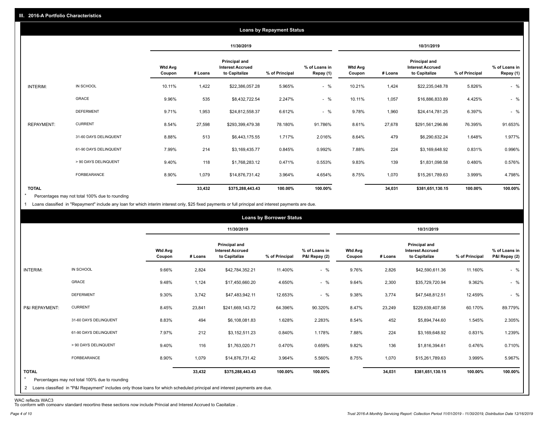|                   | <b>Loans by Repayment Status</b> |                          |            |                                                                  |                |                            |                          |         |                                                           |                |                            |
|-------------------|----------------------------------|--------------------------|------------|------------------------------------------------------------------|----------------|----------------------------|--------------------------|---------|-----------------------------------------------------------|----------------|----------------------------|
|                   |                                  |                          | 11/30/2019 |                                                                  |                | 10/31/2019                 |                          |         |                                                           |                |                            |
|                   |                                  | <b>Wtd Avg</b><br>Coupon | # Loans    | <b>Principal and</b><br><b>Interest Accrued</b><br>to Capitalize | % of Principal | % of Loans in<br>Repay (1) | <b>Wtd Avg</b><br>Coupon | # Loans | Principal and<br><b>Interest Accrued</b><br>to Capitalize | % of Principal | % of Loans in<br>Repay (1) |
| INTERIM:          | IN SCHOOL                        | 10.11%                   | 1,422      | \$22,386,057.28                                                  | 5.965%         | $-$ %                      | 10.21%                   | 1,424   | \$22,235,048.78                                           | 5.826%         | $-$ %                      |
|                   | <b>GRACE</b>                     | 9.96%                    | 535        | \$8,432,722.54                                                   | 2.247%         | $-$ %                      | 10.11%                   | 1,057   | \$16,886,833.89                                           | 4.425%         | $-$ %                      |
|                   | <b>DEFERMENT</b>                 | 9.71%                    | 1,953      | \$24,812,558.37                                                  | 6.612%         | $-$ %                      | 9.78%                    | 1,960   | \$24,414,781.25                                           | 6.397%         | $-$ %                      |
| <b>REPAYMENT:</b> | <b>CURRENT</b>                   | 8.54%                    | 27,598     | \$293,399,479.38                                                 | 78.180%        | 91.786%                    | 8.61%                    | 27,678  | \$291,561,296.86                                          | 76.395%        | 91.653%                    |
|                   | 31-60 DAYS DELINQUENT            | 8.88%                    | 513        | \$6,443,175.55                                                   | 1.717%         | 2.016%                     | 8.64%                    | 479     | \$6,290,632.24                                            | 1.648%         | 1.977%                     |
|                   | 61-90 DAYS DELINQUENT            | 7.99%                    | 214        | \$3,169,435.77                                                   | 0.845%         | 0.992%                     | 7.88%                    | 224     | \$3,169,648.92                                            | 0.831%         | 0.996%                     |
|                   | > 90 DAYS DELINQUENT             | 9.40%                    | 118        | \$1,768,283.12                                                   | 0.471%         | 0.553%                     | 9.83%                    | 139     | \$1,831,098.58                                            | 0.480%         | 0.576%                     |
|                   | <b>FORBEARANCE</b>               | 8.90%                    | 1,079      | \$14,876,731.42                                                  | 3.964%         | 4.654%                     | 8.75%                    | 1,070   | \$15,261,789.63                                           | 3.999%         | 4.798%                     |
| <b>TOTAL</b>      |                                  |                          | 33,432     | \$375,288,443.43                                                 | 100.00%        | 100.00%                    |                          | 34,031  | \$381,651,130.15                                          | 100.00%        | 100.00%                    |

Percentages may not total 100% due to rounding \*

1 Loans classified in "Repayment" include any loan for which interim interest only, \$25 fixed payments or full principal and interest payments are due.

|                         |                                                                                                                              |                          |         |                                                                  | <b>Loans by Borrower Status</b> |                                |                          |         |                                                                  |                |                                |
|-------------------------|------------------------------------------------------------------------------------------------------------------------------|--------------------------|---------|------------------------------------------------------------------|---------------------------------|--------------------------------|--------------------------|---------|------------------------------------------------------------------|----------------|--------------------------------|
|                         |                                                                                                                              |                          |         | 11/30/2019                                                       |                                 |                                | 10/31/2019               |         |                                                                  |                |                                |
|                         |                                                                                                                              | <b>Wtd Avg</b><br>Coupon | # Loans | <b>Principal and</b><br><b>Interest Accrued</b><br>to Capitalize | % of Principal                  | % of Loans in<br>P&I Repay (2) | <b>Wtd Avg</b><br>Coupon | # Loans | <b>Principal and</b><br><b>Interest Accrued</b><br>to Capitalize | % of Principal | % of Loans in<br>P&I Repay (2) |
| INTERIM:                | IN SCHOOL                                                                                                                    | 9.66%                    | 2,824   | \$42,784,352.21                                                  | 11.400%                         | $-$ %                          | 9.76%                    | 2,826   | \$42,590,611.36                                                  | 11.160%        | $-$ %                          |
|                         | <b>GRACE</b>                                                                                                                 | 9.48%                    | 1,124   | \$17,450,660.20                                                  | 4.650%                          | $-$ %                          | 9.64%                    | 2,300   | \$35,729,720.94                                                  | 9.362%         | $-$ %                          |
|                         | <b>DEFERMENT</b>                                                                                                             | 9.30%                    | 3,742   | \$47,483,942.11                                                  | 12.653%                         | $-$ %                          | 9.38%                    | 3,774   | \$47,548,812.51                                                  | 12.459%        | $-$ %                          |
| P&I REPAYMENT:          | <b>CURRENT</b>                                                                                                               | 8.45%                    | 23,841  | \$241,669,143.72                                                 | 64.396%                         | 90.320%                        | 8.47%                    | 23,249  | \$229,639,407.58                                                 | 60.170%        | 89.779%                        |
|                         | 31-60 DAYS DELINQUENT                                                                                                        | 8.83%                    | 494     | \$6,108,081.83                                                   | 1.628%                          | 2.283%                         | 8.54%                    | 452     | \$5,894,744.60                                                   | 1.545%         | 2.305%                         |
|                         | 61-90 DAYS DELINQUENT                                                                                                        | 7.97%                    | 212     | \$3,152,511.23                                                   | 0.840%                          | 1.178%                         | 7.88%                    | 224     | \$3,169,648.92                                                   | 0.831%         | 1.239%                         |
|                         | > 90 DAYS DELINQUENT                                                                                                         | 9.40%                    | 116     | \$1,763,020.71                                                   | 0.470%                          | 0.659%                         | 9.82%                    | 136     | \$1,816,394.61                                                   | 0.476%         | 0.710%                         |
|                         | <b>FORBEARANCE</b>                                                                                                           | 8.90%                    | 1,079   | \$14,876,731.42                                                  | 3.964%                          | 5.560%                         | 8.75%                    | 1,070   | \$15,261,789.63                                                  | 3.999%         | 5.967%                         |
| <b>TOTAL</b><br>$\star$ | Percentages may not total 100% due to rounding                                                                               |                          | 33,432  | \$375,288,443.43                                                 | 100.00%                         | 100.00%                        |                          | 34,031  | \$381,651,130.15                                                 | 100.00%        | 100.00%                        |
|                         | 2 Loans classified in "P&I Repayment" includes only those loans for which scheduled principal and interest payments are due. |                          |         |                                                                  |                                 |                                |                          |         |                                                                  |                |                                |

WAC reflects WAC3 To conform with company standard reporting these sections now include Princial and Interest Accrued to Capitalize .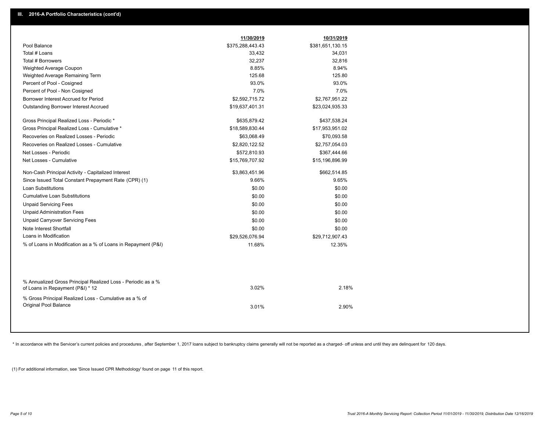|                                                                                                  | 11/30/2019       | 10/31/2019       |  |
|--------------------------------------------------------------------------------------------------|------------------|------------------|--|
| Pool Balance                                                                                     | \$375,288,443.43 | \$381,651,130.15 |  |
| Total # Loans                                                                                    | 33,432           | 34,031           |  |
| Total # Borrowers                                                                                | 32,237           | 32,816           |  |
| Weighted Average Coupon                                                                          | 8.85%            | 8.94%            |  |
| Weighted Average Remaining Term                                                                  | 125.68           | 125.80           |  |
| Percent of Pool - Cosigned                                                                       | 93.0%            | 93.0%            |  |
| Percent of Pool - Non Cosigned                                                                   | 7.0%             | 7.0%             |  |
| Borrower Interest Accrued for Period                                                             | \$2,592,715.72   | \$2,767,951.22   |  |
| Outstanding Borrower Interest Accrued                                                            | \$19,637,401.31  | \$23,024,935.33  |  |
| Gross Principal Realized Loss - Periodic *                                                       | \$635,879.42     | \$437,538.24     |  |
| Gross Principal Realized Loss - Cumulative *                                                     | \$18,589,830.44  | \$17,953,951.02  |  |
| Recoveries on Realized Losses - Periodic                                                         | \$63,068.49      | \$70,093.58      |  |
| Recoveries on Realized Losses - Cumulative                                                       | \$2,820,122.52   | \$2,757,054.03   |  |
| Net Losses - Periodic                                                                            | \$572,810.93     | \$367,444.66     |  |
| Net Losses - Cumulative                                                                          | \$15,769,707.92  | \$15,196,896.99  |  |
| Non-Cash Principal Activity - Capitalized Interest                                               | \$3,863,451.96   | \$662,514.85     |  |
| Since Issued Total Constant Prepayment Rate (CPR) (1)                                            | 9.66%            | 9.65%            |  |
| <b>Loan Substitutions</b>                                                                        | \$0.00           | \$0.00           |  |
| <b>Cumulative Loan Substitutions</b>                                                             | \$0.00           | \$0.00           |  |
| <b>Unpaid Servicing Fees</b>                                                                     | \$0.00           | \$0.00           |  |
| <b>Unpaid Administration Fees</b>                                                                | \$0.00           | \$0.00           |  |
| <b>Unpaid Carryover Servicing Fees</b>                                                           | \$0.00           | \$0.00           |  |
| Note Interest Shortfall                                                                          | \$0.00           | \$0.00           |  |
| Loans in Modification                                                                            | \$29,526,076.94  | \$29,712,907.43  |  |
| % of Loans in Modification as a % of Loans in Repayment (P&I)                                    | 11.68%           | 12.35%           |  |
|                                                                                                  |                  |                  |  |
| % Annualized Gross Principal Realized Loss - Periodic as a %<br>of Loans in Repayment (P&I) * 12 | 3.02%            | 2.18%            |  |
| % Gross Principal Realized Loss - Cumulative as a % of<br>Original Pool Balance                  | 3.01%            | 2.90%            |  |
|                                                                                                  |                  |                  |  |

\* In accordance with the Servicer's current policies and procedures, after September 1, 2017 loans subject to bankruptcy claims generally will not be reported as a charged- off unless and until they are delinquent for 120

(1) For additional information, see 'Since Issued CPR Methodology' found on page 11 of this report.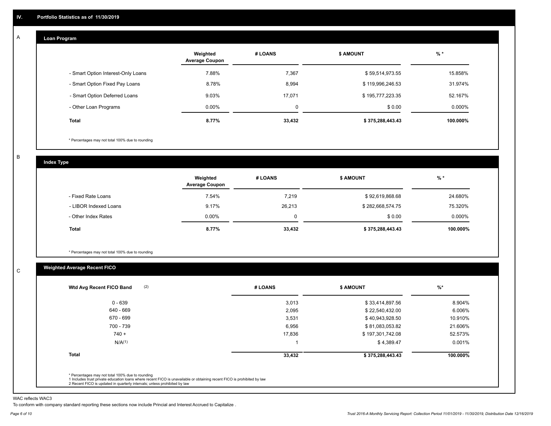#### **Loan Program**  A

|                                    | Weighted<br><b>Average Coupon</b> | # LOANS     | <b>\$ AMOUNT</b> | $%$ *     |
|------------------------------------|-----------------------------------|-------------|------------------|-----------|
| - Smart Option Interest-Only Loans | 7.88%                             | 7,367       | \$59,514,973.55  | 15.858%   |
| - Smart Option Fixed Pay Loans     | 8.78%                             | 8,994       | \$119,996,246.53 | 31.974%   |
| - Smart Option Deferred Loans      | 9.03%                             | 17.071      | \$195,777,223.35 | 52.167%   |
| - Other Loan Programs              | $0.00\%$                          | $\mathbf 0$ | \$0.00           | $0.000\%$ |
| <b>Total</b>                       | 8.77%                             | 33,432      | \$375,288,443.43 | 100.000%  |

\* Percentages may not total 100% due to rounding

B

C

**Index Type**

|                       | Weighted<br><b>Average Coupon</b> | # LOANS | <b>\$ AMOUNT</b> | % *      |
|-----------------------|-----------------------------------|---------|------------------|----------|
| - Fixed Rate Loans    | 7.54%                             | 7,219   | \$92,619,868.68  | 24.680%  |
| - LIBOR Indexed Loans | 9.17%                             | 26,213  | \$282,668,574.75 | 75.320%  |
| - Other Index Rates   | $0.00\%$                          | 0       | \$0.00           | 0.000%   |
| <b>Total</b>          | 8.77%                             | 33,432  | \$375,288,443.43 | 100.000% |

\* Percentages may not total 100% due to rounding

## **Weighted Average Recent FICO**

| $0 - 639$          | 3,013  | \$33,414,897.56  | 8.904%   |
|--------------------|--------|------------------|----------|
| 640 - 669          | 2,095  | \$22,540,432.00  | 6.006%   |
| 670 - 699          | 3,531  | \$40,943,928.50  | 10.910%  |
| 700 - 739          | 6,956  | \$81,083,053.82  | 21.606%  |
| $740 +$            | 17,836 | \$197,301,742.08 | 52.573%  |
| N/A <sup>(1)</sup> |        | \$4,389.47       | 0.001%   |
| <b>Total</b>       | 33,432 | \$375,288,443.43 | 100.000% |

WAC reflects WAC3

To conform with company standard reporting these sections now include Princial and Interest Accrued to Capitalize .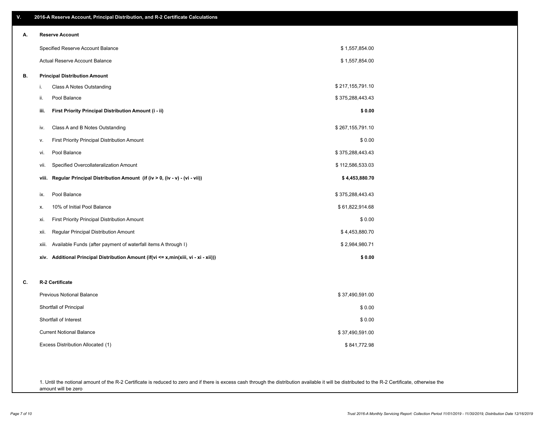| ۷. | 2016-A Reserve Account, Principal Distribution, and R-2 Certificate Calculations        |                  |
|----|-----------------------------------------------------------------------------------------|------------------|
| А. | <b>Reserve Account</b>                                                                  |                  |
|    | Specified Reserve Account Balance                                                       | \$1,557,854.00   |
|    | Actual Reserve Account Balance                                                          | \$1,557,854.00   |
| В. | <b>Principal Distribution Amount</b>                                                    |                  |
|    | Class A Notes Outstanding<br>i.                                                         | \$217,155,791.10 |
|    | Pool Balance<br>ii.                                                                     | \$375,288,443.43 |
|    | First Priority Principal Distribution Amount (i - ii)<br>iii.                           | \$0.00           |
|    | Class A and B Notes Outstanding<br>iv.                                                  | \$267,155,791.10 |
|    | First Priority Principal Distribution Amount<br>v.                                      | \$0.00           |
|    | Pool Balance<br>vi.                                                                     | \$375,288,443.43 |
|    | Specified Overcollateralization Amount<br>vii.                                          | \$112,586,533.03 |
|    | Regular Principal Distribution Amount (if (iv > 0, (iv - v) - (vi - vii))<br>viii.      | \$4,453,880.70   |
|    | Pool Balance<br>ix.                                                                     | \$375,288,443.43 |
|    | 10% of Initial Pool Balance<br>х.                                                       | \$61,822,914.68  |
|    | <b>First Priority Principal Distribution Amount</b><br>xi.                              | \$0.00           |
|    | Regular Principal Distribution Amount<br>xii.                                           | \$4,453,880.70   |
|    | Available Funds (after payment of waterfall items A through I)<br>xiii.                 | \$2,984,980.71   |
|    | Additional Principal Distribution Amount (if(vi <= x,min(xiii, vi - xi - xii)))<br>xiv. | \$0.00           |
| C. | R-2 Certificate                                                                         |                  |
|    | <b>Previous Notional Balance</b>                                                        | \$37,490,591.00  |
|    | Shortfall of Principal                                                                  | \$0.00           |
|    | Shortfall of Interest                                                                   | \$0.00           |
|    | <b>Current Notional Balance</b>                                                         | \$37,490,591.00  |
|    | Excess Distribution Allocated (1)                                                       | \$841,772.98     |
|    |                                                                                         |                  |
|    |                                                                                         |                  |

1. Until the notional amount of the R-2 Certificate is reduced to zero and if there is excess cash through the distribution available it will be distributed to the R-2 Certificate, otherwise the amount will be zero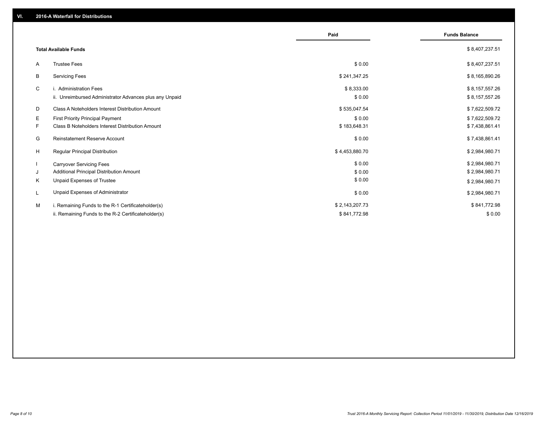|                                                               | Paid           | <b>Funds Balance</b> |
|---------------------------------------------------------------|----------------|----------------------|
| <b>Total Available Funds</b>                                  |                | \$8,407,237.51       |
| <b>Trustee Fees</b><br>A                                      | \$0.00         | \$8,407,237.51       |
| B<br><b>Servicing Fees</b>                                    | \$241,347.25   | \$8,165,890.26       |
| C<br>i. Administration Fees                                   | \$8,333.00     | \$8,157,557.26       |
| ii. Unreimbursed Administrator Advances plus any Unpaid       | \$0.00         | \$8,157,557.26       |
| D<br>Class A Noteholders Interest Distribution Amount         | \$535,047.54   | \$7,622,509.72       |
| E.<br><b>First Priority Principal Payment</b>                 | \$0.00         | \$7,622,509.72       |
| F.<br><b>Class B Noteholders Interest Distribution Amount</b> | \$183,648.31   | \$7,438,861.41       |
| G<br><b>Reinstatement Reserve Account</b>                     | \$0.00         | \$7,438,861.41       |
| H<br><b>Regular Principal Distribution</b>                    | \$4,453,880.70 | \$2,984,980.71       |
| $\mathbf{I}$<br><b>Carryover Servicing Fees</b>               | \$0.00         | \$2,984,980.71       |
| Additional Principal Distribution Amount<br>J                 | \$0.00         | \$2,984,980.71       |
| Κ<br>Unpaid Expenses of Trustee                               | \$0.00         | \$2,984,980.71       |
| Unpaid Expenses of Administrator<br>L                         | \$0.00         | \$2,984,980.71       |
| М<br>i. Remaining Funds to the R-1 Certificateholder(s)       | \$2,143,207.73 | \$841,772.98         |
| ii. Remaining Funds to the R-2 Certificateholder(s)           | \$841,772.98   | \$0.00               |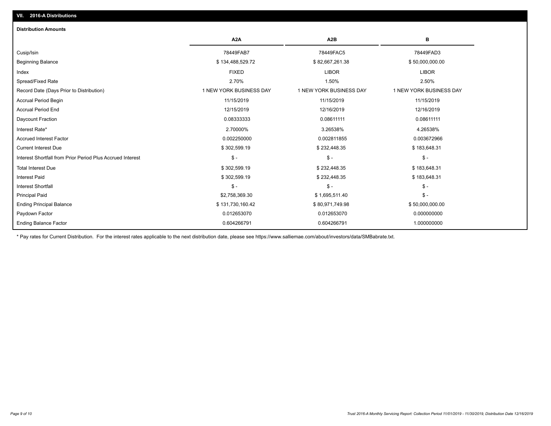## Ending Balance Factor Paydown Factor 0.012653070 0.012653070 0.000000000 Ending Principal Balance \$ 131,730,160.42 \$ \$80,971,749.98 \$60,971,749.98 \$50,000,000.00 Principal Paid \$2,758,369.30 \$ 1,695,511.40 \$ - Interest Shortfall \$ - \$ - \$ - Interest Paid \$ 302,599.19 \$ 232,448.35 \$ 183,648.31 Total Interest Due \$ 302,599.19 \$ 302,599.19 \$ 302,599.19 \$ 232,448.35 \$ \$ 183,648.31 Interest Shortfall from Prior Period Plus Accrued Interest \$ - \$ - \$ - Current Interest Due \$ 302,599.19 \$ 232,448.35 \$ 183,648.31 Accrued Interest Factor 0.002250000 0.002811855 0.003672966 Interest Rate\* 2.70000% 3.26538% 4.26538% Daycount Fraction 0.08333333 0.08611111 0.08611111 Accrual Period End 12/15/2019 12/16/2019 12/16/2019 Accrual Period Begin 11/15/2019 11/15/2019 11/15/2019 Record Date (Days Prior to Distribution) 1 1 NEW YORK BUSINESS DAY 1 NEW YORK BUSINESS DAY 1 NEW YORK BUSINESS DAY Spread/Fixed Rate 2.70% 1.50% 2.50% Index FIXED LIBOR LIBOR Beginning Balance \$ 134,488,529.72 \$ 82,667,261.38 \$ 50,000,000.00 Cusip/Isin 78449FAB7 78449FAC5 78449FAD3 **A2A A2B B** 0.604266791 0.604266791 1.000000000 **Distribution Amounts**

\* Pay rates for Current Distribution. For the interest rates applicable to the next distribution date, please see https://www.salliemae.com/about/investors/data/SMBabrate.txt.

**VII. 2016-A Distributions**